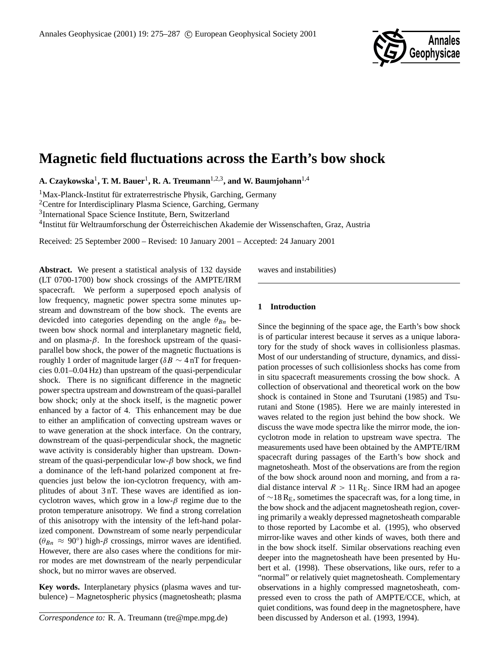

# **Magnetic field fluctuations across the Earth's bow shock**

**A. Czaykowska**<sup>1</sup> **, T. M. Bauer**<sup>1</sup> **, R. A. Treumann**1,2,3**, and W. Baumjohann**1,4

 $1$ Max-Planck-Institut für extraterrestrische Physik, Garching, Germany

<sup>2</sup>Centre for Interdisciplinary Plasma Science, Garching, Germany

<sup>3</sup>International Space Science Institute, Bern, Switzerland

<sup>4</sup>Institut für Weltraumforschung der Österreichischen Akademie der Wissenschaften, Graz, Austria

Received: 25 September 2000 – Revised: 10 January 2001 – Accepted: 24 January 2001

**Abstract.** We present a statistical analysis of 132 dayside (LT 0700-1700) bow shock crossings of the AMPTE/IRM spacecraft. We perform a superposed epoch analysis of low frequency, magnetic power spectra some minutes upstream and downstream of the bow shock. The events are devicded into categories depending on the angle  $\theta_{Bn}$  between bow shock normal and interplanetary magnetic field, and on plasma- $\beta$ . In the foreshock upstream of the quasiparallel bow shock, the power of the magnetic fluctuations is roughly 1 order of magnitude larger ( $\delta B \sim 4$  nT for frequencies 0.01–0.04 Hz) than upstream of the quasi-perpendicular shock. There is no significant difference in the magnetic power spectra upstream and downstream of the quasi-parallel bow shock; only at the shock itself, is the magnetic power enhanced by a factor of 4. This enhancement may be due to either an amplification of convecting upstream waves or to wave generation at the shock interface. On the contrary, downstream of the quasi-perpendicular shock, the magnetic wave activity is considerably higher than upstream. Downstream of the quasi-perpendicular low- $\beta$  bow shock, we find a dominance of the left-hand polarized component at frequencies just below the ion-cyclotron frequency, with amplitudes of about 3 nT. These waves are identified as ioncyclotron waves, which grow in a low- $\beta$  regime due to the proton temperature anisotropy. We find a strong correlation of this anisotropy with the intensity of the left-hand polarized component. Downstream of some nearly perpendicular  $(\theta_{Bn} \approx 90^{\circ})$  high- $\beta$  crossings, mirror waves are identified. However, there are also cases where the conditions for mirror modes are met downstream of the nearly perpendicular shock, but no mirror waves are observed.

**Key words.** Interplanetary physics (plasma waves and turbulence) – Magnetospheric physics (magnetosheath; plasma waves and instabilities)

# **1 Introduction**

Since the beginning of the space age, the Earth's bow shock is of particular interest because it serves as a unique laboratory for the study of shock waves in collisionless plasmas. Most of our understanding of structure, dynamics, and dissipation processes of such collisionless shocks has come from in situ spacecraft measurements crossing the bow shock. A collection of observational and theoretical work on the bow shock is contained in Stone and Tsurutani (1985) and Tsurutani and Stone (1985). Here we are mainly interested in waves related to the region just behind the bow shock. We discuss the wave mode spectra like the mirror mode, the ioncyclotron mode in relation to upstream wave spectra. The measurements used have been obtained by the AMPTE/IRM spacecraft during passages of the Earth's bow shock and magnetosheath. Most of the observations are from the region of the bow shock around noon and morning, and from a radial distance interval  $R > 11 R<sub>E</sub>$ . Since IRM had an apogee of ∼18 R<sub>E</sub>, sometimes the spacecraft was, for a long time, in the bow shock and the adjacent magnetosheath region, covering primarily a weakly depressed magnetosheath comparable to those reported by Lacombe et al. (1995), who observed mirror-like waves and other kinds of waves, both there and in the bow shock itself. Similar observations reaching even deeper into the magnetosheath have been presented by Hubert et al. (1998). These observations, like ours, refer to a "normal" or relatively quiet magnetosheath. Complementary observations in a highly compressed magnetosheath, compressed even to cross the path of AMPTE/CCE, which, at quiet conditions, was found deep in the magnetosphere, have been discussed by Anderson et al. (1993, 1994).

*Correspondence to:* R. A. Treumann (tre@mpe.mpg.de)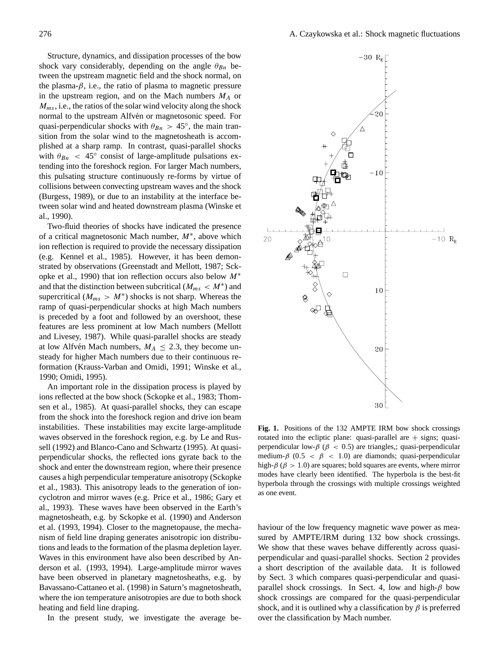Structure, dynamics, and dissipation processes of the bow shock vary considerably, depending on the angle  $\theta_{Bn}$  between the upstream magnetic field and the shock normal, on the plasma- $\beta$ , i.e., the ratio of plasma to magnetic pressure in the upstream region, and on the Mach numbers  $M_A$  or  $M_{ms}$ , i.e., the ratios of the solar wind velocity along the shock normal to the upstream Alfvén or magnetosonic speed. For quasi-perpendicular shocks with  $\theta_{Bn} > 45^{\circ}$ , the main transition from the solar wind to the magnetosheath is accomplished at a sharp ramp. In contrast, quasi-parallel shocks with  $\theta_{Bn}$  < 45° consist of large-amplitude pulsations extending into the foreshock region. For larger Mach numbers, this pulsating structure continuously re-forms by virtue of collisions between convecting upstream waves and the shock (Burgess, 1989), or due to an instability at the interface between solar wind and heated downstream plasma (Winske et al., 1990).

Two-fluid theories of shocks have indicated the presence of a critical magnetosonic Mach number,  $M^*$ , above which ion reflection is required to provide the necessary dissipation (e.g. Kennel et al., 1985). However, it has been demonstrated by observations (Greenstadt and Mellott, 1987; Sckopke et al., 1990) that ion reflection occurs also below M<sup>∗</sup> and that the distinction between subcritical ( $M_{ms} < M^*$ ) and supercritical ( $M_{ms} > M^*$ ) shocks is not sharp. Whereas the ramp of quasi-perpendicular shocks at high Mach numbers is preceded by a foot and followed by an overshoot, these features are less prominent at low Mach numbers (Mellott and Livesey, 1987). While quasi-parallel shocks are steady at low Alfvén Mach numbers,  $M_A \leq 2.3$ , they become unsteady for higher Mach numbers due to their continuous reformation (Krauss-Varban and Omidi, 1991; Winske et al., 1990; Omidi, 1995).

An important role in the dissipation process is played by ions reflected at the bow shock (Sckopke et al., 1983; Thomsen et al., 1985). At quasi-parallel shocks, they can escape from the shock into the foreshock region and drive ion beam instabilities. These instabilities may excite large-amplitude waves observed in the foreshock region, e.g. by Le and Russell (1992) and Blanco-Cano and Schwartz (1995). At quasiperpendicular shocks, the reflected ions gyrate back to the shock and enter the downstream region, where their presence causes a high perpendicular temperature anisotropy (Sckopke et al., 1983). This anisotropy leads to the generation of ioncyclotron and mirror waves (e.g. Price et al., 1986; Gary et al., 1993). These waves have been observed in the Earth's magnetosheath, e.g. by Sckopke et al. (1990) and Anderson et al. (1993, 1994). Closer to the magnetopause, the mechanism of field line draping generates anisotropic ion distributions and leads to the formation of the plasma depletion layer. Waves in this environment have also been described by Anderson et al. (1993, 1994). Large-amplitude mirror waves have been observed in planetary magnetosheaths, e.g. by Bavassano-Cattaneo et al. (1998) in Saturn's magnetosheath, where the ion temperature anisotropies are due to both shock heating and field line draping.

In the present study, we investigate the average be-



**Fig. 1.** Positions of the 132 AMPTE IRM bow shock crossings rotated into the ecliptic plane: quasi-parallel are  $+$  signs; quasiperpendicular low-β ( $\beta$  < 0.5) are triangles,; quasi-perpendicular medium- $\beta$  (0.5 <  $\beta$  < 1.0) are diamonds; quasi-perpendicular high- $\beta$  ( $\beta$  > 1.0) are squares; bold squares are events, where mirror modes have clearly been identified. The hyperbola is the best-fit hyperbola through the crossings with multiple crossings weighted as one event.

haviour of the low frequency magnetic wave power as measured by AMPTE/IRM during 132 bow shock crossings. We show that these waves behave differently across quasiperpendicular and quasi-parallel shocks. Section 2 provides a short description of the available data. It is followed by Sect. 3 which compares quasi-perpendicular and quasiparallel shock crossings. In Sect. 4, low and high- $\beta$  bow shock crossings are compared for the quasi-perpendicular shock, and it is outlined why a classification by  $\beta$  is preferred over the classification by Mach number.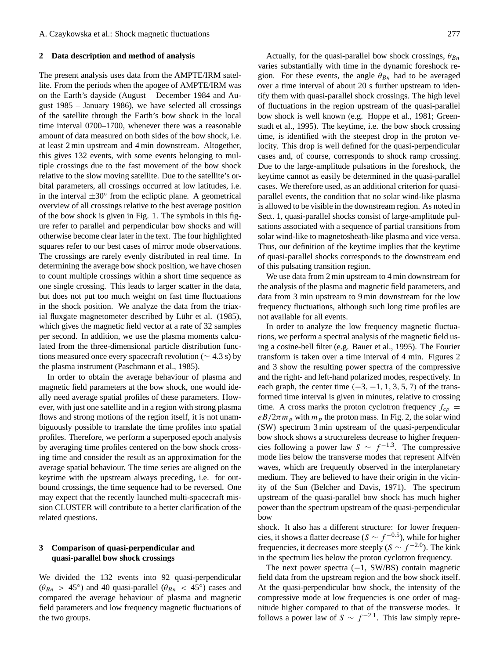#### **2 Data description and method of analysis**

The present analysis uses data from the AMPTE/IRM satellite. From the periods when the apogee of AMPTE/IRM was on the Earth's dayside (August – December 1984 and August 1985 – January 1986), we have selected all crossings of the satellite through the Earth's bow shock in the local time interval 0700–1700, whenever there was a reasonable amount of data measured on both sides of the bow shock, i.e. at least 2 min upstream and 4 min downstream. Altogether, this gives 132 events, with some events belonging to multiple crossings due to the fast movement of the bow shock relative to the slow moving satellite. Due to the satellite's orbital parameters, all crossings occurred at low latitudes, i.e. in the interval  $\pm 30^\circ$  from the ecliptic plane. A geometrical overview of all crossings relative to the best average position of the bow shock is given in Fig. 1. The symbols in this figure refer to parallel and perpendicular bow shocks and will otherwise become clear later in the text. The four highlighted squares refer to our best cases of mirror mode observations. The crossings are rarely evenly distributed in real time. In determining the average bow shock position, we have chosen to count multiple crossings within a short time sequence as one single crossing. This leads to larger scatter in the data, but does not put too much weight on fast time fluctuations in the shock position. We analyze the data from the triaxial fluxgate magnetometer described by Lühr et al. (1985), which gives the magnetic field vector at a rate of 32 samples per second. In addition, we use the plasma moments calculated from the three-dimensional particle distribution functions measured once every spacecraft revolution ( $\sim$  4.3 s) by the plasma instrument (Paschmann et al., 1985).

In order to obtain the average behaviour of plasma and magnetic field parameters at the bow shock, one would ideally need average spatial profiles of these parameters. However, with just one satellite and in a region with strong plasma flows and strong motions of the region itself, it is not unambiguously possible to translate the time profiles into spatial profiles. Therefore, we perform a superposed epoch analysis by averaging time profiles centered on the bow shock crossing time and consider the result as an approximation for the average spatial behaviour. The time series are aligned on the keytime with the upstream always preceding, i.e. for outbound crossings, the time sequence had to be reversed. One may expect that the recently launched multi-spacecraft mission CLUSTER will contribute to a better clarification of the related questions.

## **3 Comparison of quasi-perpendicular and quasi-parallel bow shock crossings**

We divided the 132 events into 92 quasi-perpendicular  $(\theta_{Bn} > 45^{\circ})$  and 40 quasi-parallel  $(\theta_{Bn} < 45^{\circ})$  cases and compared the average behaviour of plasma and magnetic field parameters and low frequency magnetic fluctuations of the two groups.

Actually, for the quasi-parallel bow shock crossings,  $\theta_{Bn}$ varies substantially with time in the dynamic foreshock region. For these events, the angle  $\theta_{Bn}$  had to be averaged over a time interval of about 20 s further upstream to identify them with quasi-parallel shock crossings. The high level of fluctuations in the region upstream of the quasi-parallel bow shock is well known (e.g. Hoppe et al., 1981; Greenstadt et al., 1995). The keytime, i.e. the bow shock crossing time, is identified with the steepest drop in the proton velocity. This drop is well defined for the quasi-perpendicular cases and, of course, corresponds to shock ramp crossing. Due to the large-amplitude pulsations in the foreshock, the keytime cannot as easily be determined in the quasi-parallel cases. We therefore used, as an additional criterion for quasiparallel events, the condition that no solar wind-like plasma is allowed to be visible in the downstream region. As noted in Sect. 1, quasi-parallel shocks consist of large-amplitude pulsations associated with a sequence of partial transitions from solar wind-like to magnetosheath-like plasma and vice versa. Thus, our definition of the keytime implies that the keytime of quasi-parallel shocks corresponds to the downstream end of this pulsating transition region.

We use data from 2 min upstream to 4 min downstream for the analysis of the plasma and magnetic field parameters, and data from 3 min upstream to 9 min downstream for the low frequency fluctuations, although such long time profiles are not available for all events.

In order to analyze the low frequency magnetic fluctuations, we perform a spectral analysis of the magnetic field using a cosine-bell filter (e.g. Bauer et al., 1995). The Fourier transform is taken over a time interval of 4 min. Figures 2 and 3 show the resulting power spectra of the compressive and the right- and left-hand polarized modes, respectively. In each graph, the center time  $(-3, -1, 1, 3, 5, 7)$  of the transformed time interval is given in minutes, relative to crossing time. A cross marks the proton cyclotron frequency  $f_{cp}$  =  $eB/2\pi m_p$  with  $m_p$  the proton mass. In Fig. 2, the solar wind (SW) spectrum 3 min upstream of the quasi-perpendicular bow shock shows a structureless decrease to higher frequencies following a power law  $S \sim f^{-1.3}$ . The compressive mode lies below the transverse modes that represent Alfvén waves, which are frequently observed in the interplanetary medium. They are believed to have their origin in the vicinity of the Sun (Belcher and Davis, 1971). The spectrum upstream of the quasi-parallel bow shock has much higher power than the spectrum upstream of the quasi-perpendicular bow

shock. It also has a different structure: for lower frequencies, it shows a flatter decrease ( $S \sim f^{-0.5}$ ), while for higher frequencies, it decreases more steeply ( $S \sim f^{-2.0}$ ). The kink in the spectrum lies below the proton cyclotron frequency.

The next power spectra  $(-1, \text{SW/BS})$  contain magnetic field data from the upstream region and the bow shock itself. At the quasi-perpendicular bow shock, the intensity of the compressive mode at low frequencies is one order of magnitude higher compared to that of the transverse modes. It follows a power law of  $S \sim f^{-2.1}$ . This law simply repre-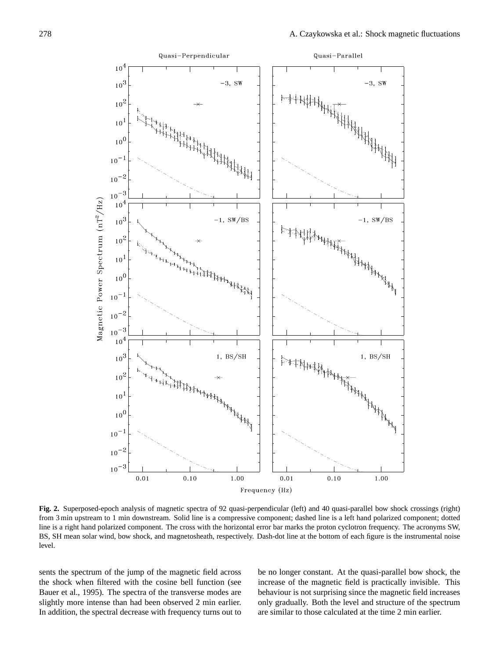

**Fig. 2.** Superposed-epoch analysis of magnetic spectra of 92 quasi-perpendicular (left) and 40 quasi-parallel bow shock crossings (right) from 3 min upstream to 1 min downstream. Solid line is a compressive component; dashed line is a left hand polarized component; dotted line is a right hand polarized component. The cross with the horizontal error bar marks the proton cyclotron frequency. The acronyms SW, BS, SH mean solar wind, bow shock, and magnetosheath, respectively. Dash-dot line at the bottom of each figure is the instrumental noise level.

sents the spectrum of the jump of the magnetic field across the shock when filtered with the cosine bell function (see Bauer et al., 1995). The spectra of the transverse modes are slightly more intense than had been observed 2 min earlier. In addition, the spectral decrease with frequency turns out to be no longer constant. At the quasi-parallel bow shock, the increase of the magnetic field is practically invisible. This behaviour is not surprising since the magnetic field increases only gradually. Both the level and structure of the spectrum are similar to those calculated at the time 2 min earlier.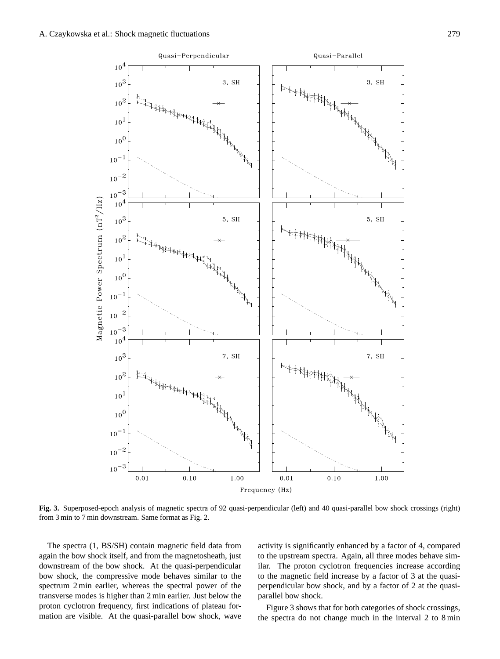

**Fig. 3.** Superposed-epoch analysis of magnetic spectra of 92 quasi-perpendicular (left) and 40 quasi-parallel bow shock crossings (right) from 3 min to 7 min downstream. Same format as Fig. 2.

The spectra (1, BS/SH) contain magnetic field data from again the bow shock itself, and from the magnetosheath, just downstream of the bow shock. At the quasi-perpendicular bow shock, the compressive mode behaves similar to the spectrum 2 min earlier, whereas the spectral power of the transverse modes is higher than 2 min earlier. Just below the proton cyclotron frequency, first indications of plateau formation are visible. At the quasi-parallel bow shock, wave

activity is significantly enhanced by a factor of 4, compared to the upstream spectra. Again, all three modes behave similar. The proton cyclotron frequencies increase according to the magnetic field increase by a factor of 3 at the quasiperpendicular bow shock, and by a factor of 2 at the quasiparallel bow shock.

Figure 3 shows that for both categories of shock crossings, the spectra do not change much in the interval 2 to 8 min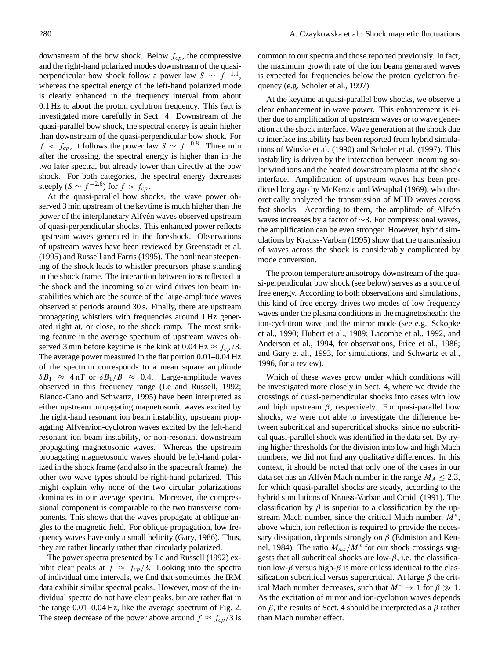downstream of the bow shock. Below  $f_{cp}$ , the compressive and the right-hand polarized modes downstream of the quasiperpendicular bow shock follow a power law  $S \sim f^{-1.1}$ , whereas the spectral energy of the left-hand polarized mode is clearly enhanced in the frequency interval from about 0.1 Hz to about the proton cyclotron frequency. This fact is investigated more carefully in Sect. 4. Downstream of the quasi-parallel bow shock, the spectral energy is again higher than downstream of the quasi-perpendicular bow shock. For  $f < f_{cp}$ , it follows the power law  $S \sim f^{-0.8}$ . Three min after the crossing, the spectral energy is higher than in the two later spectra, but already lower than directly at the bow shock. For both categories, the spectral energy decreases steeply  $(S \sim f^{-2.6})$  for  $f > f_{cp}$ .

At the quasi-parallel bow shocks, the wave power observed 3 min upstream of the keytime is much higher than the power of the interplanetary Alfvén waves observed upstream of quasi-perpendicular shocks. This enhanced power reflects upstream waves generated in the foreshock. Observations of upstream waves have been reviewed by Greenstadt et al. (1995) and Russell and Farris (1995). The nonlinear steepening of the shock leads to whistler precursors phase standing in the shock frame. The interaction between ions reflected at the shock and the incoming solar wind drives ion beam instabilities which are the source of the large-amplitude waves observed at periods around 30 s. Finally, there are upstream propagating whistlers with frequencies around 1 Hz generated right at, or close, to the shock ramp. The most striking feature in the average spectrum of upstream waves observed 3 min before keytime is the kink at  $0.04 \text{ Hz} \approx f_{cp}/3$ . The average power measured in the flat portion 0.01–0.04 Hz of the spectrum corresponds to a mean square amplitude  $\delta B_1 \approx 4 \text{ nT}$  or  $\delta B_1/B \approx 0.4$ . Large-amplitude waves observed in this frequency range (Le and Russell, 1992; Blanco-Cano and Schwartz, 1995) have been interpreted as either upstream propagating magnetosonic waves excited by the right-hand resonant ion beam instability, upstream propagating Alfvén/ion-cyclotron waves excited by the left-hand resonant ion beam instability, or non-resonant downstream propagating magnetosonic waves. Whereas the upstream propagating magnetosonic waves should be left-hand polarized in the shock frame (and also in the spacecraft frame), the other two wave types should be right-hand polarized. This might explain why none of the two circular polarizations dominates in our average spectra. Moreover, the compressional component is comparable to the two transverse components. This shows that the waves propagate at oblique angles to the magnetic field. For oblique propagation, low frequency waves have only a small helicity (Gary, 1986). Thus, they are rather linearly rather than circularly polarized.

The power spectra presented by Le and Russell (1992) exhibit clear peaks at  $f \approx f_{cp}/3$ . Looking into the spectra of individual time intervals, we find that sometimes the IRM data exhibit similar spectral peaks. However, most of the individual spectra do not have clear peaks, but are rather flat in the range 0.01–0.04 Hz, like the average spectrum of Fig. 2. The steep decrease of the power above around  $f \approx f_{cp}/3$  is

common to our spectra and those reported previously. In fact, the maximum growth rate of the ion beam generated waves is expected for frequencies below the proton cyclotron frequency (e.g. Scholer et al., 1997).

At the keytime at quasi-parallel bow shocks, we observe a clear enhancement in wave power. This enhancement is either due to amplification of upstream waves or to wave generation at the shock interface. Wave generation at the shock due to interface instability has been reported from hybrid simulations of Winske et al. (1990) and Scholer et al. (1997). This instability is driven by the interaction between incoming solar wind ions and the heated downstream plasma at the shock interface. Amplification of upstream waves has been predicted long ago by McKenzie and Westphal (1969), who theoretically analyzed the transmission of MHD waves across fast shocks. According to them, the amplitude of Alfvén waves increases by a factor of ∼3. For compressional waves, the amplification can be even stronger. However, hybrid simulations by Krauss-Varban (1995) show that the transmission of waves across the shock is considerably complicated by mode conversion.

The proton temperature anisotropy downstream of the quasi-perpendicular bow shock (see below) serves as a source of free energy. According to both observations and simulations, this kind of free energy drives two modes of low frequency waves under the plasma conditions in the magnetosheath: the ion-cyclotron wave and the mirror mode (see e.g. Sckopke et al., 1990; Hubert et al., 1989; Lacombe et al., 1992, and Anderson et al., 1994, for observations, Price et al., 1986; and Gary et al., 1993, for simulations, and Schwartz et al., 1996, for a review).

Which of these waves grow under which conditions will be investigated more closely in Sect. 4, where we divide the crossings of quasi-perpendicular shocks into cases with low and high upstream  $\beta$ , respectively. For quasi-parallel bow shocks, we were not able to investigate the difference between subcritical and supercritical shocks, since no subcritical quasi-parallel shock was identified in the data set. By trying higher thresholds for the division into low and high Mach numbers, we did not find any qualitative differences. In this context, it should be noted that only one of the cases in our data set has an Alfvén Mach number in the range  $M_A \le 2.3$ , for which quasi-parallel shocks are steady, according to the hybrid simulations of Krauss-Varban and Omidi (1991). The classification by  $\beta$  is superior to a classification by the upstream Mach number, since the critical Mach number,  $M^*$ , above which, ion reflection is required to provide the necessary dissipation, depends strongly on  $\beta$  (Edmiston and Kennel, 1984). The ratio  $M_{ms}/M^*$  for our shock crossings suggests that all subcritical shocks are low- $\beta$ , i.e. the classification low- $\beta$  versus high- $\beta$  is more or less identical to the classification subcritical versus supercritical. At large  $\beta$  the critical Mach number decreases, such that  $M^* \to 1$  for  $\beta \gg 1$ . As the excitation of mirror and ion-cyclotron waves depends on  $\beta$ , the results of Sect. 4 should be interpreted as a  $\beta$  rather than Mach number effect.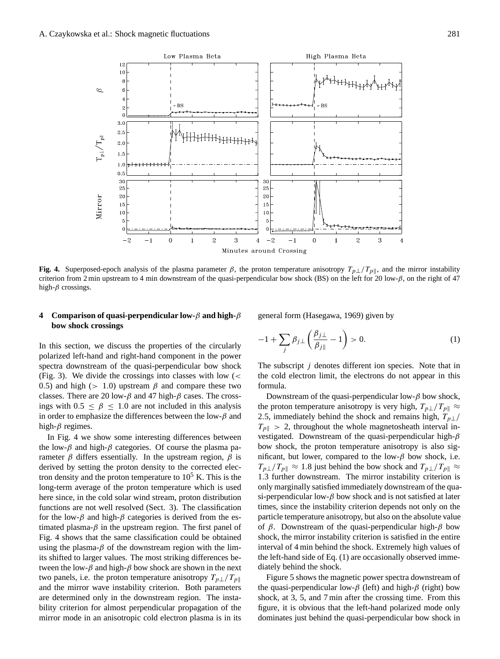

**Fig. 4.** Superposed-epoch analysis of the plasma parameter  $\beta$ , the proton temperature anisotropy  $T_{p\perp}/T_{p\parallel}$ , and the mirror instability criterion from 2 min upstream to 4 min downstream of the quasi-perpendicular bow shock (BS) on the left for 20 low- $\beta$ , on the right of 47 high- $\beta$  crossings.

 $-1+\sum$ j

formula.

### **4 Comparison of quasi-perpendicular low-**β **and high-**β **bow shock crossings**

general form (Hasegawa, 1969) given by

 $\beta_{j\perp}$   $\Big(\frac{\beta_{j\perp}}{\beta_{j\perp}}\Big)$  $\beta_{j\parallel}$ 

In this section, we discuss the properties of the circularly polarized left-hand and right-hand component in the power spectra downstream of the quasi-perpendicular bow shock (Fig. 3). We divide the crossings into classes with low (< 0.5) and high (> 1.0) upstream 
$$
\beta
$$
 and compare these two classes. There are 20 low- $\beta$  and 47 high- $\beta$  cases. The crossings with  $0.5 \leq \beta \leq 1.0$  are not included in this analysis in order to emphasize the differences between the low- $\beta$  and high- $\beta$  regimes.

In Fig. 4 we show some interesting differences between the low- $\beta$  and high- $\beta$  categories. Of course the plasma parameter  $β$  differs essentially. In the upstream region,  $β$  is derived by setting the proton density to the corrected electron density and the proton temperature to  $10^5$  K. This is the long-term average of the proton temperature which is used here since, in the cold solar wind stream, proton distribution functions are not well resolved (Sect. 3). The classification for the low- $\beta$  and high- $\beta$  categories is derived from the estimated plasma- $\beta$  in the upstream region. The first panel of Fig. 4 shows that the same classification could be obtained using the plasma- $\beta$  of the downstream region with the limits shifted to larger values. The most striking differences between the low- $\beta$  and high- $\beta$  bow shock are shown in the next two panels, i.e. the proton temperature anisotropy  $T_{p\perp}/T_{p\parallel}$ and the mirror wave instability criterion. Both parameters are determined only in the downstream region. The instability criterion for almost perpendicular propagation of the mirror mode in an anisotropic cold electron plasma is in its The subscript  $j$  denotes different ion species. Note that in the cold electron limit, the electrons do not appear in this

 $-1$  > 0. (1)

Downstream of the quasi-perpendicular low- $\beta$  bow shock, the proton temperature anisotropy is very high,  $T_{p\perp}/T_{p\parallel} \approx$ 2.5, immediately behind the shock and remains high,  $T_{p\perp}/$  $T_{p\parallel}$  > 2, throughout the whole magnetosheath interval investigated. Downstream of the quasi-perpendicular high- $\beta$ bow shock, the proton temperature anisotropy is also significant, but lower, compared to the low- $\beta$  bow shock, i.e.  $T_{p\perp}/T_{p\parallel} \approx 1.8$  just behind the bow shock and  $T_{p\perp}/T_{p\parallel} \approx$ 1.3 further downstream. The mirror instability criterion is only marginally satisfied immediately downstream of the quasi-perpendicular low- $\beta$  bow shock and is not satisfied at later times, since the instability criterion depends not only on the particle temperature anisotropy, but also on the absolute value of  $\beta$ . Downstream of the quasi-perpendicular high- $\beta$  bow shock, the mirror instability criterion is satisfied in the entire interval of 4 min behind the shock. Extremely high values of the left-hand side of Eq. (1) are occasionally observed immediately behind the shock.

Figure 5 shows the magnetic power spectra downstream of the quasi-perpendicular low- $\beta$  (left) and high- $\beta$  (right) bow shock, at 3, 5, and 7 min after the crossing time. From this figure, it is obvious that the left-hand polarized mode only dominates just behind the quasi-perpendicular bow shock in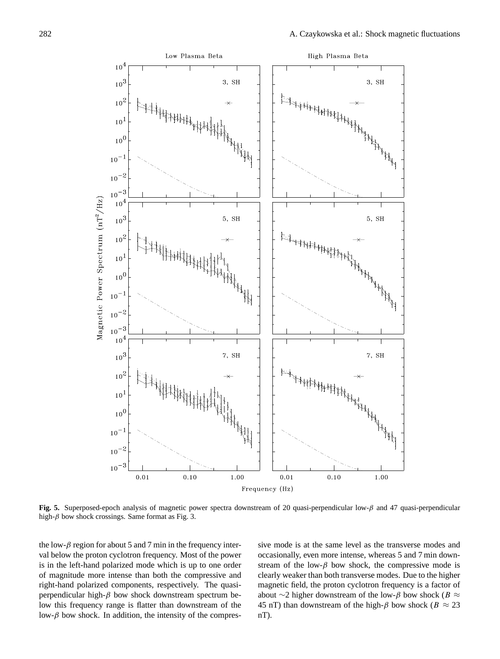

**Fig. 5.** Superposed-epoch analysis of magnetic power spectra downstream of 20 quasi-perpendicular low-β and 47 quasi-perpendicular high- $\beta$  bow shock crossings. Same format as Fig. 3.

the low- $\beta$  region for about 5 and 7 min in the frequency interval below the proton cyclotron frequency. Most of the power is in the left-hand polarized mode which is up to one order of magnitude more intense than both the compressive and right-hand polarized components, respectively. The quasiperpendicular high- $\beta$  bow shock downstream spectrum below this frequency range is flatter than downstream of the low- $\beta$  bow shock. In addition, the intensity of the compressive mode is at the same level as the transverse modes and occasionally, even more intense, whereas 5 and 7 min downstream of the low- $\beta$  bow shock, the compressive mode is clearly weaker than both transverse modes. Due to the higher magnetic field, the proton cyclotron frequency is a factor of about ∼2 higher downstream of the low- $\beta$  bow shock ( $B \approx$ 45 nT) than downstream of the high- $\beta$  bow shock ( $B \approx 23$ nT).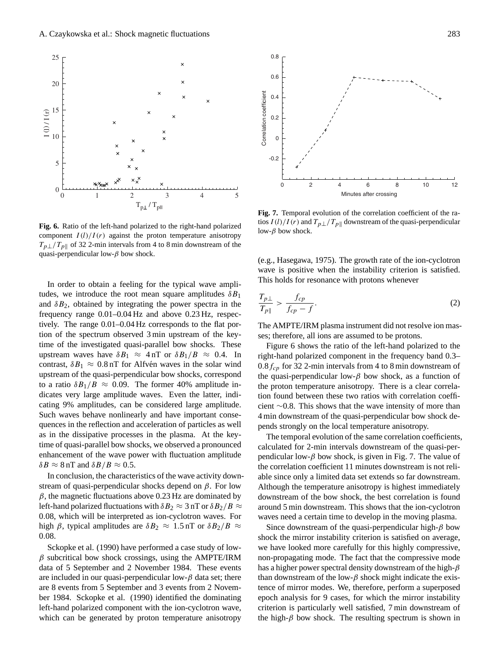

**Fig. 6.** Ratio of the left-hand polarized to the right-hand polarized component  $I(l)/I(r)$  against the proton temperature anisotropy  $T_{p\perp}/T_{p\parallel}$  of 32 2-min intervals from 4 to 8 min downstream of the quasi-perpendicular low- $\beta$  bow shock.

In order to obtain a feeling for the typical wave amplitudes, we introduce the root mean square amplitudes  $\delta B_1$ and  $\delta B_2$ , obtained by integrating the power spectra in the frequency range 0.01–0.04 Hz and above 0.23 Hz, respectively. The range 0.01–0.04 Hz corresponds to the flat portion of the spectrum observed 3 min upstream of the keytime of the investigated quasi-parallel bow shocks. These upstream waves have  $\delta B_1 \approx 4 \text{ nT}$  or  $\delta B_1/B \approx 0.4$ . In contrast,  $\delta B_1 \approx 0.8$  nT for Alfvén waves in the solar wind upstream of the quasi-perpendicular bow shocks, correspond to a ratio  $\delta B_1/B \approx 0.09$ . The former 40% amplitude indicates very large amplitude waves. Even the latter, indicating 9% amplitudes, can be considered large amplitude. Such waves behave nonlinearly and have important consequences in the reflection and acceleration of particles as well as in the dissipative processes in the plasma. At the keytime of quasi-parallel bow shocks, we observed a pronounced enhancement of the wave power with fluctuation amplitude  $\delta B \approx 8 \,\text{nT}$  and  $\delta B/B \approx 0.5$ .

In conclusion, the characteristics of the wave activity downstream of quasi-perpendicular shocks depend on  $\beta$ . For low  $\beta$ , the magnetic fluctuations above 0.23 Hz are dominated by left-hand polarized fluctuations with  $\delta B_2 \approx 3$  nT or  $\delta B_2/B \approx$ 0.08, which will be interpreted as ion-cyclotron waves. For high  $\beta$ , typical amplitudes are  $\delta B_2 \approx 1.5 \,\text{nT}$  or  $\delta B_2/B \approx$ 0.08.

Sckopke et al. (1990) have performed a case study of low- $\beta$  subcritical bow shock crossings, using the AMPTE/IRM data of 5 September and 2 November 1984. These events are included in our quasi-perpendicular low- $\beta$  data set; there are 8 events from 5 September and 3 events from 2 November 1984. Sckopke et al. (1990) identified the dominating left-hand polarized component with the ion-cyclotron wave, which can be generated by proton temperature anisotropy



**Fig. 7.** Temporal evolution of the correlation coefficient of the ratios  $I(l)/I(r)$  and  $T_{p\perp}/T_{p\parallel}$  downstream of the quasi-perpendicular low- $\beta$  bow shock.

(e.g., Hasegawa, 1975). The growth rate of the ion-cyclotron wave is positive when the instability criterion is satisfied. This holds for resonance with protons whenever

$$
\frac{T_{p\perp}}{T_{p\parallel}} > \frac{f_{cp}}{f_{cp} - f}.
$$
\n(2)

The AMPTE/IRM plasma instrument did not resolve ion masses; therefore, all ions are assumed to be protons.

Figure 6 shows the ratio of the left-hand polarized to the right-hand polarized component in the frequency band 0.3–  $0.8 f_{cp}$  for 32 2-min intervals from 4 to 8 min downstream of the quasi-perpendicular low- $\beta$  bow shock, as a function of the proton temperature anisotropy. There is a clear correlation found between these two ratios with correlation coefficient ∼0.8. This shows that the wave intensity of more than 4 min downstream of the quasi-perpendicular bow shock depends strongly on the local temperature anisotropy.

The temporal evolution of the same correlation coefficients, calculated for 2-min intervals downstream of the quasi-perpendicular low- $\beta$  bow shock, is given in Fig. 7. The value of the correlation coefficient 11 minutes downstream is not reliable since only a limited data set extends so far downstream. Although the temperature anisotropy is highest immediately downstream of the bow shock, the best correlation is found around 5 min downstream. This shows that the ion-cyclotron waves need a certain time to develop in the moving plasma.

Since downstream of the quasi-perpendicular high- $\beta$  bow shock the mirror instability criterion is satisfied on average, we have looked more carefully for this highly compressive, non-propagating mode. The fact that the compressive mode has a higher power spectral density downstream of the high- $\beta$ than downstream of the low- $\beta$  shock might indicate the existence of mirror modes. We, therefore, perform a superposed epoch analysis for 9 cases, for which the mirror instability criterion is particularly well satisfied, 7 min downstream of the high- $\beta$  bow shock. The resulting spectrum is shown in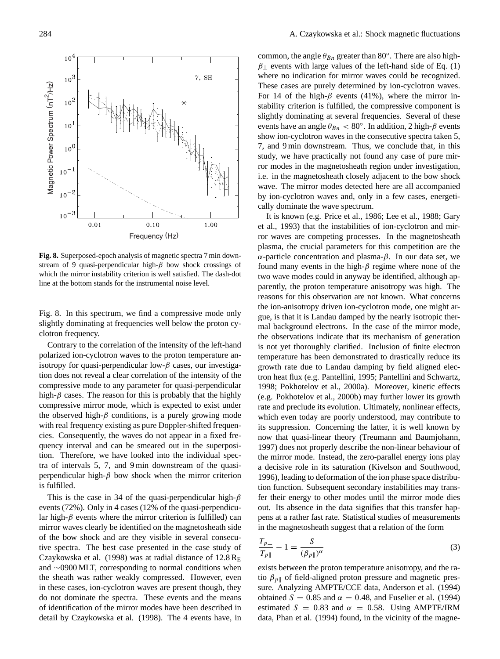

**Fig. 8.** Superposed-epoch analysis of magnetic spectra 7 min downstream of 9 quasi-perpendicular high- $\beta$  bow shock crossings of which the mirror instability criterion is well satisfied. The dash-dot line at the bottom stands for the instrumental noise level.

Fig. 8. In this spectrum, we find a compressive mode only slightly dominating at frequencies well below the proton cyclotron frequency.

Contrary to the correlation of the intensity of the left-hand polarized ion-cyclotron waves to the proton temperature anisotropy for quasi-perpendicular low- $\beta$  cases, our investigation does not reveal a clear correlation of the intensity of the compressive mode to any parameter for quasi-perpendicular high- $\beta$  cases. The reason for this is probably that the highly compressive mirror mode, which is expected to exist under the observed high- $\beta$  conditions, is a purely growing mode with real frequency existing as pure Doppler-shifted frequencies. Consequently, the waves do not appear in a fixed frequency interval and can be smeared out in the superposition. Therefore, we have looked into the individual spectra of intervals 5, 7, and 9 min downstream of the quasiperpendicular high- $\beta$  bow shock when the mirror criterion is fulfilled.

This is the case in 34 of the quasi-perpendicular high- $\beta$ events (72%). Only in 4 cases (12% of the quasi-perpendicular high- $\beta$  events where the mirror criterion is fulfilled) can mirror waves clearly be identified on the magnetosheath side of the bow shock and are they visible in several consecutive spectra. The best case presented in the case study of Czaykowska et al. (1998) was at radial distance of  $12.8 \text{R}_E$ and ∼0900 MLT, corresponding to normal conditions when the sheath was rather weakly compressed. However, even in these cases, ion-cyclotron waves are present though, they do not dominate the spectra. These events and the means of identification of the mirror modes have been described in detail by Czaykowska et al. (1998). The 4 events have, in

common, the angle  $\theta_{Bn}$  greater than 80°. There are also high- $\beta_{\perp}$  events with large values of the left-hand side of Eq. (1) where no indication for mirror waves could be recognized. These cases are purely determined by ion-cyclotron waves. For 14 of the high- $\beta$  events (41%), where the mirror instability criterion is fulfilled, the compressive component is slightly dominating at several frequencies. Several of these events have an angle  $\theta_{Bn} < 80^\circ$ . In addition, 2 high- $\beta$  events show ion-cyclotron waves in the consecutive spectra taken 5, 7, and 9 min downstream. Thus, we conclude that, in this study, we have practically not found any case of pure mirror modes in the magnetosheath region under investigation, i.e. in the magnetosheath closely adjacent to the bow shock wave. The mirror modes detected here are all accompanied by ion-cyclotron waves and, only in a few cases, energetically dominate the wave spectrum.

It is known (e.g. Price et al., 1986; Lee et al., 1988; Gary et al., 1993) that the instabilities of ion-cyclotron and mirror waves are competing processes. In the magnetosheath plasma, the crucial parameters for this competition are the α-particle concentration and plasma-β. In our data set, we found many events in the high- $\beta$  regime where none of the two wave modes could in anyway be identified, although apparently, the proton temperature anisotropy was high. The reasons for this observation are not known. What concerns the ion-anisotropy driven ion-cyclotron mode, one might argue, is that it is Landau damped by the nearly isotropic thermal background electrons. In the case of the mirror mode, the observations indicate that its mechanism of generation is not yet thoroughly clarified. Inclusion of finite electron temperature has been demonstrated to drastically reduce its growth rate due to Landau damping by field aligned electron heat flux (e.g. Pantellini, 1995; Pantellini and Schwartz, 1998; Pokhotelov et al., 2000a). Moreover, kinetic effects (e.g. Pokhotelov et al., 2000b) may further lower its growth rate and preclude its evolution. Ultimately, nonlinear effects, which even today are poorly understood, may contribute to its suppression. Concerning the latter, it is well known by now that quasi-linear theory (Treumann and Baumjohann, 1997) does not properly describe the non-linear behaviour of the mirror mode. Instead, the zero-parallel energy ions play a decisive role in its saturation (Kivelson and Southwood, 1996), leading to deformation of the ion phase space distribution function. Subsequent secondary instabilities may transfer their energy to other modes until the mirror mode dies out. Its absence in the data signifies that this transfer happens at a rather fast rate. Statistical studies of measurements in the magnetosheath suggest that a relation of the form

$$
\frac{T_{p\perp}}{T_{p\parallel}} - 1 = \frac{S}{(\beta_{p\parallel})^{\alpha}}
$$
\n(3)

exists between the proton temperature anisotropy, and the ratio  $\beta_{p\parallel}$  of field-aligned proton pressure and magnetic pressure. Analyzing AMPTE/CCE data, Anderson et al. (1994) obtained  $S = 0.85$  and  $\alpha = 0.48$ , and Fuselier et al. (1994) estimated  $S = 0.83$  and  $\alpha = 0.58$ . Using AMPTE/IRM data, Phan et al. (1994) found, in the vicinity of the magne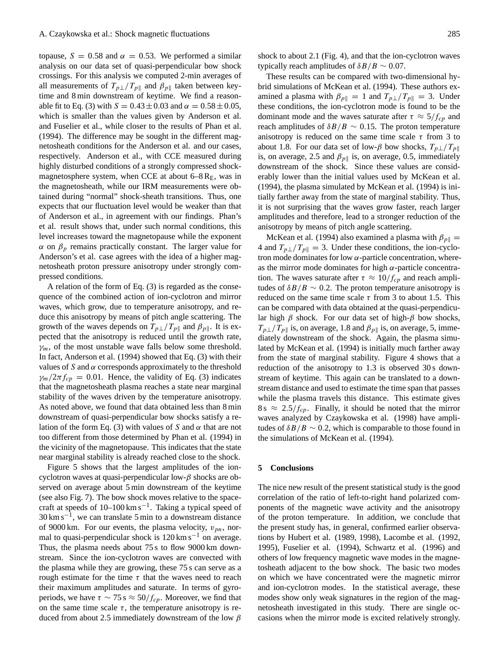topause,  $S = 0.58$  and  $\alpha = 0.53$ . We performed a similar analysis on our data set of quasi-perpendicular bow shock crossings. For this analysis we computed 2-min averages of all measurements of  $T_{p\perp}/T_{p\parallel}$  and  $\beta_{p\parallel}$  taken between keytime and 8 min downstream of keytime. We find a reasonable fit to Eq. (3) with  $S = 0.43 \pm 0.03$  and  $\alpha = 0.58 \pm 0.05$ , which is smaller than the values given by Anderson et al. and Fuselier et al., while closer to the results of Phan et al. (1994). The difference may be sought in the different magnetosheath conditions for the Anderson et al. and our cases, respectively. Anderson et al., with CCE measured during highly disturbed conditions of a strongly compressed shockmagnetosphere system, when CCE at about  $6-8$  R<sub>E</sub>, was in the magnetosheath, while our IRM measurements were obtained during "normal" shock-sheath transitions. Thus, one expects that our fluctuation level would be weaker than that of Anderson et al., in agreement with our findings. Phan's et al. result shows that, under such normal conditions, this level increases toward the magnetopause while the exponent  $\alpha$  on  $\beta_p$  remains practically constant. The larger value for Anderson's et al. case agrees with the idea of a higher magnetosheath proton pressure anisotropy under strongly compressed conditions.

A relation of the form of Eq. (3) is regarded as the consequence of the combined action of ion-cyclotron and mirror waves, which grow, due to temperature anisotropy, and reduce this anisotropy by means of pitch angle scattering. The growth of the waves depends on  $T_{p\perp}/T_{p\parallel}$  and  $\beta_{p\parallel}$ . It is expected that the anisotropy is reduced until the growth rate,  $\gamma_m$ , of the most unstable wave falls below some threshold. In fact, Anderson et al. (1994) showed that Eq. (3) with their values of S and  $\alpha$  corresponds approximately to the threshold  $\gamma_m/2\pi f_{cp} = 0.01$ . Hence, the validity of Eq. (3) indicates that the magnetosheath plasma reaches a state near marginal stability of the waves driven by the temperature anisotropy. As noted above, we found that data obtained less than 8 min downstream of quasi-perpendicular bow shocks satisfy a relation of the form Eq. (3) with values of S and  $\alpha$  that are not too different from those determined by Phan et al. (1994) in the vicinity of the magnetopause. This indicates that the state near marginal stability is already reached close to the shock.

Figure 5 shows that the largest amplitudes of the ioncyclotron waves at quasi-perpendicular low- $\beta$  shocks are observed on average about 5 min downstream of the keytime (see also Fig. 7). The bow shock moves relative to the spacecraft at speeds of 10–100 km s−<sup>1</sup> . Taking a typical speed of 30 km s−<sup>1</sup> , we can translate 5 min to a downstream distance of 9000 km. For our events, the plasma velocity,  $v_{pn}$ , normal to quasi-perpendicular shock is  $120 \text{ km s}^{-1}$  on average. Thus, the plasma needs about 75 s to flow 9000 km downstream. Since the ion-cyclotron waves are convected with the plasma while they are growing, these 75 s can serve as a rough estimate for the time  $\tau$  that the waves need to reach their maximum amplitudes and saturate. In terms of gyroperiods, we have  $\tau \sim 75 \text{ s} \approx 50/f_{cp}$ . Moreover, we find that on the same time scale  $\tau$ , the temperature anisotropy is reduced from about 2.5 immediately downstream of the low  $\beta$ 

shock to about 2.1 (Fig. 4), and that the ion-cyclotron waves typically reach amplitudes of  $\delta B/B \sim 0.07$ .

These results can be compared with two-dimensional hybrid simulations of McKean et al. (1994). These authors examined a plasma with  $\beta_{p\parallel} = 1$  and  $T_{p\perp}/T_{p\parallel} = 3$ . Under these conditions, the ion-cyclotron mode is found to be the dominant mode and the waves saturate after  $\tau \approx 5/f_{cp}$  and reach amplitudes of  $\delta B/B \sim 0.15$ . The proton temperature anisotropy is reduced on the same time scale  $\tau$  from 3 to about 1.8. For our data set of low- $\beta$  bow shocks,  $T_{p\perp}/T_{p\parallel}$ is, on average, 2.5 and  $\beta_{p\parallel}$  is, on average, 0.5, immediately downstream of the shock. Since these values are considerably lower than the initial values used by McKean et al. (1994), the plasma simulated by McKean et al. (1994) is initially farther away from the state of marginal stability. Thus, it is not surprising that the waves grow faster, reach larger amplitudes and therefore, lead to a stronger reduction of the anisotropy by means of pitch angle scattering.

McKean et al. (1994) also examined a plasma with  $\beta_{p\parallel} =$ 4 and  $T_{p\perp}/T_{p\parallel} = 3$ . Under these conditions, the ion-cyclotron mode dominates for low  $\alpha$ -particle concentration, whereas the mirror mode dominates for high  $\alpha$ -particle concentration. The waves saturate after  $\tau \approx 10/f_{cp}$  and reach amplitudes of  $\delta B/B \sim 0.2$ . The proton temperature anisotropy is reduced on the same time scale  $\tau$  from 3 to about 1.5. This can be compared with data obtained at the quasi-perpendicular high  $\beta$  shock. For our data set of high- $\beta$  bow shocks,  $T_{p\perp}/T_{p\parallel}$  is, on average, 1.8 and  $\beta_{p\parallel}$  is, on average, 5, immediately downstream of the shock. Again, the plasma simulated by McKean et al. (1994) is initially much farther away from the state of marginal stability. Figure 4 shows that a reduction of the anisotropy to 1.3 is observed 30s downstream of keytime. This again can be translated to a downstream distance and used to estimate the time span that passes while the plasma travels this distance. This estimate gives  $8 s \approx 2.5/f_{cp}$ . Finally, it should be noted that the mirror waves analyzed by Czaykowska et al. (1998) have amplitudes of  $\delta B/B \sim 0.2$ , which is comparable to those found in the simulations of McKean et al. (1994).

#### **5 Conclusions**

The nice new result of the present statistical study is the good correlation of the ratio of left-to-right hand polarized components of the magnetic wave activity and the anisotropy of the proton temperature. In addition, we conclude that the present study has, in general, confirmed earlier observations by Hubert et al. (1989, 1998), Lacombe et al. (1992, 1995), Fuselier et al. (1994), Schwartz et al. (1996) and others of low frequency magnetic wave modes in the magnetosheath adjacent to the bow shock. The basic two modes on which we have concentrated were the magnetic mirror and ion-cyclotron modes. In the statistical average, these modes show only weak signatures in the region of the magnetosheath investigated in this study. There are single occasions when the mirror mode is excited relatively strongly.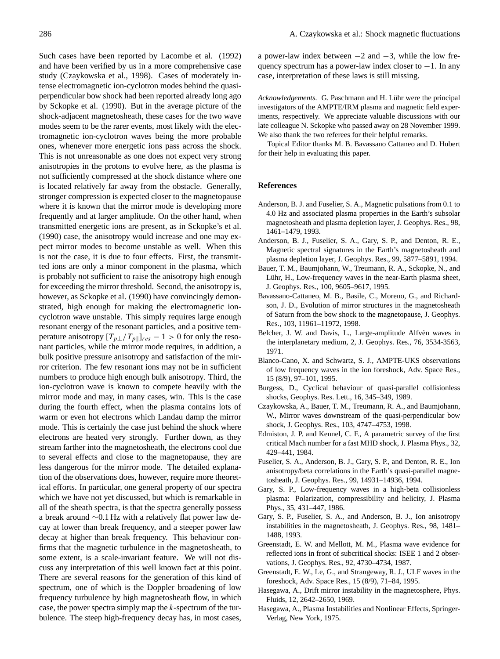Such cases have been reported by Lacombe et al. (1992) and have been verified by us in a more comprehensive case study (Czaykowska et al., 1998). Cases of moderately intense electromagnetic ion-cyclotron modes behind the quasiperpendicular bow shock had been reported already long ago by Sckopke et al. (1990). But in the average picture of the shock-adjacent magnetosheath, these cases for the two wave modes seem to be the rarer events, most likely with the electromagnetic ion-cyclotron waves being the more probable ones, whenever more energetic ions pass across the shock. This is not unreasonable as one does not expect very strong anisotropies in the protons to evolve here, as the plasma is not sufficiently compressed at the shock distance where one is located relatively far away from the obstacle. Generally, stronger compression is expected closer to the magnetopause where it is known that the mirror mode is developing more frequently and at larger amplitude. On the other hand, when transmitted energetic ions are present, as in Sckopke's et al. (1990) case, the anisotropy would increase and one may expect mirror modes to become unstable as well. When this is not the case, it is due to four effects. First, the transmitted ions are only a minor component in the plasma, which is probably not sufficient to raise the anisotropy high enough for exceeding the mirror threshold. Second, the anisotropy is, however, as Sckopke et al. (1990) have convincingly demonstrated, high enough for making the electromagnetic ioncyclotron wave unstable. This simply requires large enough resonant energy of the resonant particles, and a positive temperature anisotropy  $[T_{p\perp}/T_{p\parallel}]_{res} - 1 > 0$  for only the resonant particles, while the mirror mode requires, in addition, a bulk positive pressure anisotropy and satisfaction of the mirror criterion. The few resonant ions may not be in sufficient numbers to produce high enough bulk anisotropy. Third, the ion-cyclotron wave is known to compete heavily with the mirror mode and may, in many cases, win. This is the case during the fourth effect, when the plasma contains lots of warm or even hot electrons which Landau damp the mirror mode. This is certainly the case just behind the shock where electrons are heated very strongly. Further down, as they stream farther into the magnetosheath, the electrons cool due to several effects and close to the magnetopause, they are less dangerous for the mirror mode. The detailed explanation of the observations does, however, require more theoretical efforts. In particular, one general property of our spectra which we have not yet discussed, but which is remarkable in all of the sheath spectra, is that the spectra generally possess a break around ∼0.1 Hz with a relatively flat power law decay at lower than break frequency, and a steeper power law decay at higher than break frequency. This behaviour confirms that the magnetic turbulence in the magnetosheath, to some extent, is a scale-invariant feature. We will not discuss any interpretation of this well known fact at this point. There are several reasons for the generation of this kind of spectrum, one of which is the Doppler broadening of low frequency turbulence by high magnetosheath flow, in which case, the power spectra simply map the k-spectrum of the turbulence. The steep high-frequency decay has, in most cases,

a power-law index between −2 and −3, while the low frequency spectrum has a power-law index closer to  $-1$ . In any case, interpretation of these laws is still missing.

*Acknowledgements.* G. Paschmann and H. Lühr were the principal investigators of the AMPTE/IRM plasma and magnetic field experiments, respectively. We appreciate valuable discussions with our late colleague N. Sckopke who passed away on 28 November 1999. We also thank the two referees for their helpful remarks.

Topical Editor thanks M. B. Bavassano Cattaneo and D. Hubert for their help in evaluating this paper.

## **References**

- Anderson, B. J. and Fuselier, S. A., Magnetic pulsations from 0.1 to 4.0 Hz and associated plasma properties in the Earth's subsolar magnetosheath and plasma depletion layer, J. Geophys. Res., 98, 1461–1479, 1993.
- Anderson, B. J., Fuselier, S. A., Gary, S. P., and Denton, R. E., Magnetic spectral signatures in the Earth's magnetosheath and plasma depletion layer, J. Geophys. Res., 99, 5877–5891, 1994.
- Bauer, T. M., Baumjohann, W., Treumann, R. A., Sckopke, N., and Lühr, H., Low-frequency waves in the near-Earth plasma sheet, J. Geophys. Res., 100, 9605–9617, 1995.
- Bavassano-Cattaneo, M. B., Basile, C., Moreno, G., and Richardson, J. D., Evolution of mirror structures in the magnetosheath of Saturn from the bow shock to the magnetopause, J. Geophys. Res., 103, 11961–11972, 1998.
- Belcher, J. W. and Davis, L., Large-amplitude Alfvén waves in the interplanetary medium, 2, J. Geophys. Res., 76, 3534-3563, 1971.
- Blanco-Cano, X. and Schwartz, S. J., AMPTE-UKS observations of low frequency waves in the ion foreshock, Adv. Space Res., 15 (8/9), 97–101, 1995.
- Burgess, D., Cyclical behaviour of quasi-parallel collisionless shocks, Geophys. Res. Lett., 16, 345–349, 1989.
- Czaykowska, A., Bauer, T. M., Treumann, R. A., and Baumjohann, W., Mirror waves downstream of the quasi-perpendicular bow shock, J. Geophys. Res., 103, 4747–4753, 1998.
- Edmiston, J. P. and Kennel, C. F., A parametric survey of the first critical Mach number for a fast MHD shock, J. Plasma Phys., 32, 429–441, 1984.
- Fuselier, S. A., Anderson, B. J., Gary, S. P., and Denton, R. E., Ion anisotropy/beta correlations in the Earth's quasi-parallel magnetosheath, J. Geophys. Res., 99, 14931–14936, 1994.
- Gary, S. P., Low-frequency waves in a high-beta collisionless plasma: Polarization, compressibility and helicity, J. Plasma Phys., 35, 431–447, 1986.
- Gary, S. P., Fuselier, S. A., and Anderson, B. J., Ion anisotropy instabilities in the magnetosheath, J. Geophys. Res., 98, 1481– 1488, 1993.
- Greenstadt, E. W. and Mellott, M. M., Plasma wave evidence for reflected ions in front of subcritical shocks: ISEE 1 and 2 observations, J. Geophys. Res., 92, 4730–4734, 1987.
- Greenstadt, E. W., Le, G., and Strangeway, R. J., ULF waves in the foreshock, Adv. Space Res., 15 (8/9), 71–84, 1995.
- Hasegawa, A., Drift mirror instability in the magnetosphere, Phys. Fluids, 12, 2642–2650, 1969.
- Hasegawa, A., Plasma Instabilities and Nonlinear Effects, Springer-Verlag, New York, 1975.